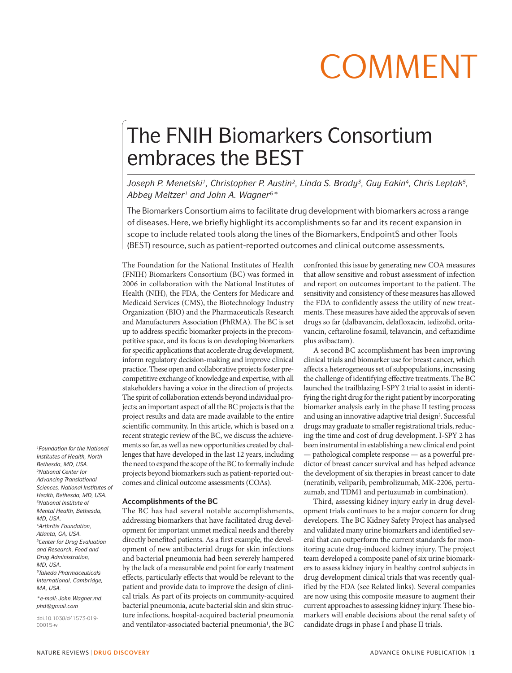# COMMENT

## The FNIH Biomarkers Consortium embraces the BEST

Joseph P. Menetski<sup>1</sup>, Christopher P. Austin<sup>2</sup>, Linda S. Brady<sup>3</sup>, Guy Eakin<sup>4</sup>, Chris Leptak<sup>5</sup>, *Abbey Meltzer1 and John A. Wagner6\**

The Biomarkers Consortium aims to facilitate drug development with biomarkers across a range of diseases. Here, we briefly highlight its accomplishments so far and its recent expansion in scope to include related tools along the lines of the Biomarkers, EndpointS and other Tools (BEST) resource, such as patient-reported outcomes and clinical outcome assessments.

The Foundation for the National Institutes of Health (FNIH) Biomarkers Consortium (BC) was formed in 2006 in collaboration with the National Institutes of Health (NIH), the FDA, the Centers for Medicare and Medicaid Services (CMS), the Biotechnology Industry Organization (BIO) and the Pharmaceuticals Research and Manufacturers Association (PhRMA). The BC is set up to address specific biomarker projects in the precompetitive space, and its focus is on developing biomarkers for specific applications that accelerate drug development, inform regulatory decision-making and improve clinical practice. These open and collaborative projects foster precompetitive exchange of knowledge and expertise, with all stakeholders having a voice in the direction of projects. The spirit of collaboration extends beyond individual projects; an important aspect of all the BC projects is that the project results and data are made available to the entire scientific community. In this article, which is based on a recent strategic review of the BC, we discuss the achievements so far, as well as new opportunities created by challenges that have developed in the last 12 years, including the need to expand the scope of the BC to formally include projects beyond biomarkers such as patient-reported outcomes and clinical outcome assessments (COAs).

#### **Accomplishments of the BC**

The BC has had several notable accomplishments, addressing biomarkers that have facilitated drug development for important unmet medical needs and thereby directly benefited patients. As a first example, the development of new antibacterial drugs for skin infections and bacterial pneumonia had been severely hampered by the lack of a measurable end point for early treatment effects, particularly effects that would be relevant to the patient and provide data to improve the design of clinical trials. As part of its projects on community-acquired bacterial pneumonia, acute bacterial skin and skin structure infections, hospital-acquired bacterial pneumonia and ventilator-associated bacterial pneumonia<sup>1</sup>, the BC confronted this issue by generating new COA measures that allow sensitive and robust assessment of infection and report on outcomes important to the patient. The sensitivity and consistency of these measures has allowed the FDA to confidently assess the utility of new treatments. These measures have aided the approvals of seven drugs so far (dalbavancin, delafloxacin, tedizolid, oritavancin, ceftaroline fosamil, telavancin, and ceftazidime plus avibactam).

A second BC accomplishment has been improving clinical trials and biomarker use for breast cancer, which affects a heterogeneous set of subpopulations, increasing the challenge of identifying effective treatments. The BC launched the trailblazing I-SPY 2 trial to assist in identifying the right drug for the right patient by incorporating biomarker analysis early in the phase II testing process and using an innovative adaptive trial design<sup>2</sup>. Successful drugs may graduate to smaller registrational trials, reducing the time and cost of drug development. I-SPY 2 has been instrumental in establishing a new clinical end point — pathological complete response — as a powerful predictor of breast cancer survival and has helped advance the development of six therapies in breast cancer to date (neratinib, veliparib, pembrolizumab, MK-2206, pertuzumab, and TDM1 and pertuzumab in combination).

Third, assessing kidney injury early in drug development trials continues to be a major concern for drug developers. The BC Kidney Safety Project has analysed and validated many urine biomarkers and identified several that can outperform the current standards for monitoring acute drug-induced kidney injury. The project team developed a composite panel of six urine biomarkers to assess kidney injury in healthy control subjects in drug development clinical trials that was recently qualified by the FDA (see Related links). Several companies are now using this composite measure to augment their current approaches to assessing kidney injury. These biomarkers will enable decisions about the renal safety of candidate drugs in phase I and phase II trials.

*1Foundation for the National Institutes of Health, North Bethesda, MD, USA. 2National Center for Advancing Translational Sciences, National Institutes of Health, Bethesda, MD, USA. 3National Institute of Mental Health, Bethesda, MD, USA. 4Arthritis Foundation, Atlanta, GA, USA. 5Center for Drug Evaluation and Research, Food and Drug Administration, MD, USA. 6Takeda Pharmaceuticals International, Cambridge, MA, USA. \*e-mail: John.Wagner.md. phd@gmail.com*

doi:10.1038/d41573-019- 00015-w